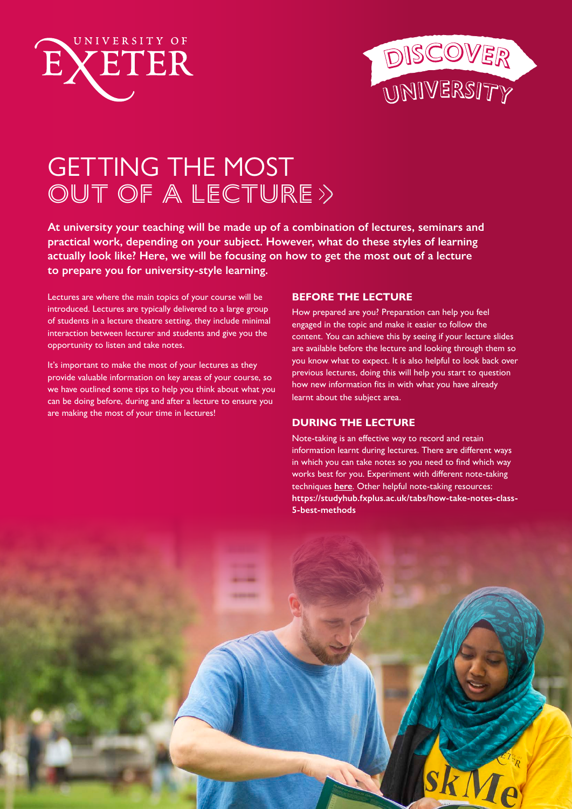



# GETTING THE MOST OUT OF A LECTURE>

**At university your teaching will be made up of a combination of lectures, seminars and practical work, depending on your subject. However, what do these styles of learning actually look like? Here, we will be focusing on how to get the most out of a lecture to prepare you for university-style learning.** 

Lectures are where the main topics of your course will be introduced. Lectures are typically delivered to a large group of students in a lecture theatre setting, they include minimal interaction between lecturer and students and give you the opportunity to listen and take notes.

It's important to make the most of your lectures as they provide valuable information on key areas of your course, so we have outlined some tips to help you think about what you can be doing before, during and after a lecture to ensure you are making the most of your time in lectures!

## **BEFORE THE LECTURE**

How prepared are you? Preparation can help you feel engaged in the topic and make it easier to follow the content. You can achieve this by seeing if your lecture slides are available before the lecture and looking through them so you know what to expect. It is also helpful to look back over previous lectures, doing this will help you start to question how new information fits in with what you have already learnt about the subject area.

# **DURING THE LECTURE**

Note-taking is an effective way to record and retain information learnt during lectures. There are different ways in which you can take notes so you need to find which way works best for you. Experiment with different note-taking techniques **[here](https://studyhub.fxplus.ac.uk/reading-lectures/seven-ways-make-notes)**. Other helpful note-taking resources: **[https://studyhub.fxplus.ac.uk/tabs/how-take-notes-class-](https://studyhub.fxplus.ac.uk/tabs/how-take-notes-class-5-best-methods)[5-best-methods](https://studyhub.fxplus.ac.uk/tabs/how-take-notes-class-5-best-methods)**